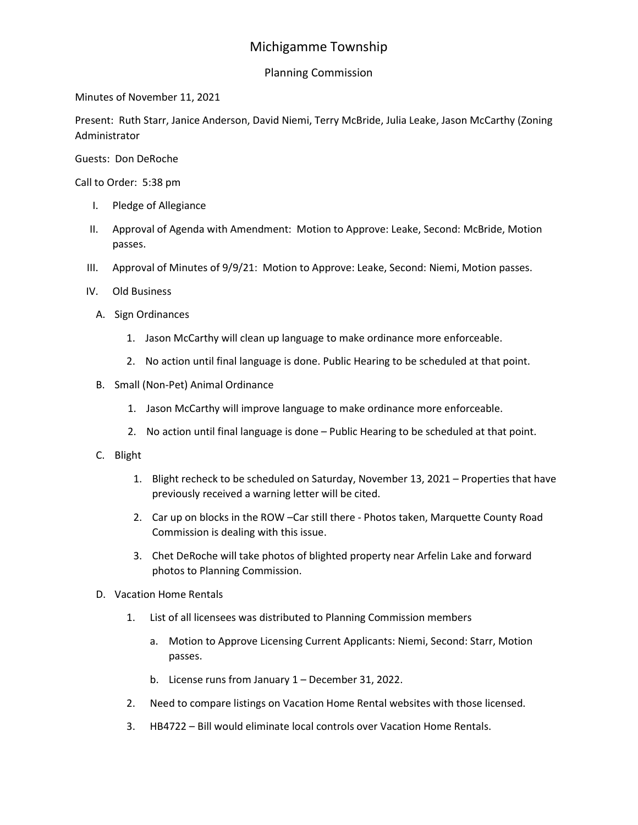## Michigamme Township

## Planning Commission

Minutes of November 11, 2021

Present: Ruth Starr, Janice Anderson, David Niemi, Terry McBride, Julia Leake, Jason McCarthy (Zoning Administrator

Guests: Don DeRoche

Call to Order: 5:38 pm

- I. Pledge of Allegiance
- II. Approval of Agenda with Amendment: Motion to Approve: Leake, Second: McBride, Motion passes.
- III. Approval of Minutes of 9/9/21: Motion to Approve: Leake, Second: Niemi, Motion passes.
- IV. Old Business
	- A. Sign Ordinances
		- 1. Jason McCarthy will clean up language to make ordinance more enforceable.
		- 2. No action until final language is done. Public Hearing to be scheduled at that point.
	- B. Small (Non-Pet) Animal Ordinance
		- 1. Jason McCarthy will improve language to make ordinance more enforceable.
		- 2. No action until final language is done Public Hearing to be scheduled at that point.
	- C. Blight
		- 1. Blight recheck to be scheduled on Saturday, November 13, 2021 Properties that have previously received a warning letter will be cited.
		- 2. Car up on blocks in the ROW –Car still there Photos taken, Marquette County Road Commission is dealing with this issue.
		- 3. Chet DeRoche will take photos of blighted property near Arfelin Lake and forward photos to Planning Commission.
	- D. Vacation Home Rentals
		- 1. List of all licensees was distributed to Planning Commission members
			- a. Motion to Approve Licensing Current Applicants: Niemi, Second: Starr, Motion passes.
			- b. License runs from January 1 December 31, 2022.
		- 2. Need to compare listings on Vacation Home Rental websites with those licensed.
		- 3. HB4722 Bill would eliminate local controls over Vacation Home Rentals.